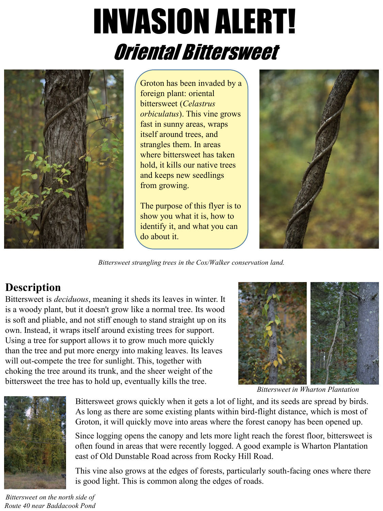# INVASION ALERT! Oriental Bittersweet



Groton has been invaded by a foreign plant: oriental bittersweet (*Celastrus orbiculatus*). This vine grows fast in sunny areas, wraps itself around trees, and strangles them. In areas where bittersweet has taken hold, it kills our native trees and keeps new seedlings from growing.

The purpose of this flyer is to show you what it is, how to identify it, and what you can do about it.



*Bittersweet strangling trees in the Cox/Walker conservation land.*

## **Description**

Bittersweet is *deciduous*, meaning it sheds its leaves in winter. It is a woody plant, but it doesn't grow like a normal tree. Its wood is soft and pliable, and not stiff enough to stand straight up on its own. Instead, it wraps itself around existing trees for support. Using a tree for support allows it to grow much more quickly than the tree and put more energy into making leaves. Its leaves will out-compete the tree for sunlight. This, together with choking the tree around its trunk, and the sheer weight of the bittersweet the tree has to hold up, eventually kills the tree.



*Bittersweet in Wharton Plantation*



Bittersweet grows quickly when it gets a lot of light, and its seeds are spread by birds. As long as there are some existing plants within bird-flight distance, which is most of Groton, it will quickly move into areas where the forest canopy has been opened up.

Since logging opens the canopy and lets more light reach the forest floor, bittersweet is often found in areas that were recently logged. A good example is Wharton Plantation east of Old Dunstable Road across from Rocky Hill Road.

This vine also grows at the edges of forests, particularly south-facing ones where there is good light. This is common along the edges of roads.

*Bittersweet on the north side of Route 40 near Baddacook Pond*